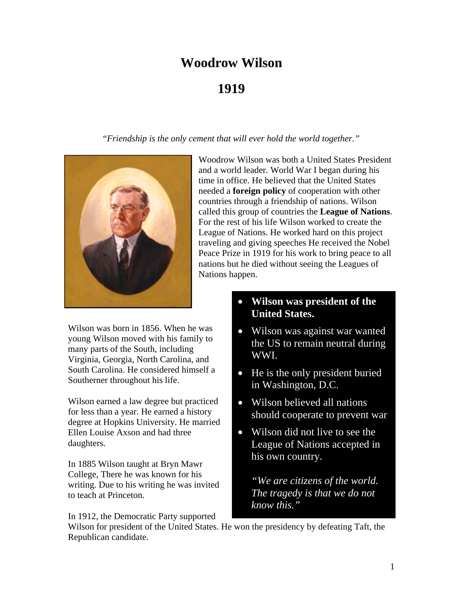# **Woodrow Wilson**

# **1919**

"*Friendship is the only cement that will ever hold the world together."*



Woodrow Wilson was both a United States President and a world leader. World War I began during his time in office. He believed that the United States needed a **foreign policy** of cooperation with other countries through a friendship of nations. Wilson called this group of countries the **League of Nations**. For the rest of his life Wilson worked to create the League of Nations. He worked hard on this project traveling and giving speeches He received the Nobel Peace Prize in 1919 for his work to bring peace to all nations but he died without seeing the Leagues of Nations happen.

Wilson was born in 1856. When he was young Wilson moved with his family to many parts of the South, including Virginia, Georgia, North Carolina, and South Carolina. He considered himself a Southerner throughout his life.

Wilson earned a law degree but practiced for less than a year. He earned a history degree at Hopkins University. He married Ellen Louise Axson and had three daughters.

In 1885 Wilson taught at Bryn Mawr College, There he was known for his writing. Due to his writing he was invited to teach at Princeton.

In 1912, the Democratic Party supported

# • **Wilson was president of the United States.**

- Wilson was against war wanted the US to remain neutral during WWI.
- He is the only president buried in Washington, D.C.
- Wilson believed all nations should cooperate to prevent war
- Wilson did not live to see the League of Nations accepted in his own country.

*"We are citizens of the world. The tragedy is that we do not know this."*

Wilson for president of the United States. He won the presidency by defeating Taft, the Republican candidate.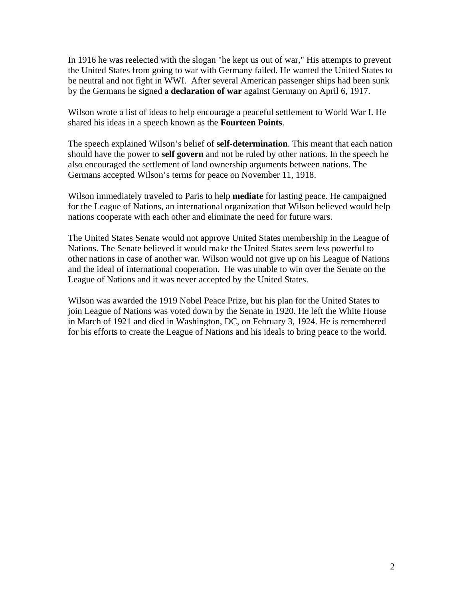In 1916 he was reelected with the slogan "he kept us out of war," His attempts to prevent the United States from going to war with Germany failed. He wanted the United States to be neutral and not fight in WWI.After several American passenger ships had been sunk by the Germans he signed a **declaration of war** against Germany on April 6, 1917.

Wilson wrote a list of ideas to help encourage a peaceful settlement to World War I. He shared his ideas in a speech known as the **Fourteen Points**.

The speech explained Wilson's belief of **self-determination**. This meant that each nation should have the power to **self govern** and not be ruled by other nations. In the speech he also encouraged the settlement of land ownership arguments between nations. The Germans accepted Wilson's terms for peace on November 11, 1918.

Wilson immediately traveled to Paris to help **mediate** for lasting peace. He campaigned for the League of Nations, an international organization that Wilson believed would help nations cooperate with each other and eliminate the need for future wars.

The United States Senate would not approve United States membership in the League of Nations. The Senate believed it would make the United States seem less powerful to other nations in case of another war. Wilson would not give up on his League of Nations and the ideal of international cooperation. He was unable to win over the Senate on the League of Nations and it was never accepted by the United States.

Wilson was awarded the 1919 Nobel Peace Prize, but his plan for the United States to join League of Nations was voted down by the Senate in 1920. He left the White House in March of 1921 and died in Washington, DC, on February 3, 1924. He is remembered for his efforts to create the League of Nations and his ideals to bring peace to the world.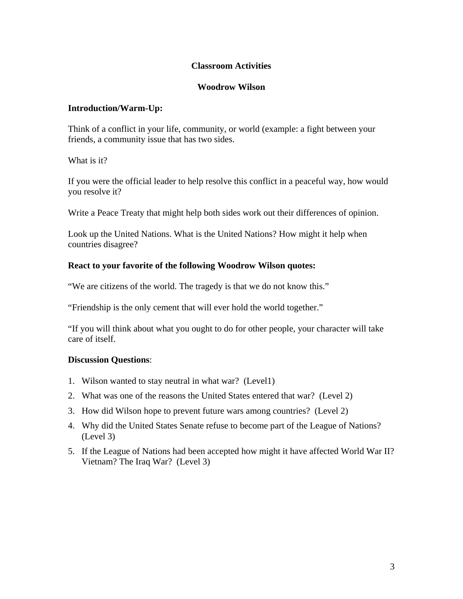#### **Classroom Activities**

#### **Woodrow Wilson**

#### **Introduction/Warm-Up:**

Think of a conflict in your life, community, or world (example: a fight between your friends, a community issue that has two sides.

What is it?

If you were the official leader to help resolve this conflict in a peaceful way, how would you resolve it?

Write a Peace Treaty that might help both sides work out their differences of opinion.

Look up the United Nations. What is the United Nations? How might it help when countries disagree?

#### **React to your favorite of the following Woodrow Wilson quotes:**

"We are citizens of the world. The tragedy is that we do not know this."

"Friendship is the only cement that will ever hold the world together."

"If you will think about what you ought to do for other people, your character will take care of itself.

#### **Discussion Questions**:

- 1. Wilson wanted to stay neutral in what war? (Level1)
- 2. What was one of the reasons the United States entered that war? (Level 2)
- 3. How did Wilson hope to prevent future wars among countries? (Level 2)
- 4. Why did the United States Senate refuse to become part of the League of Nations? (Level 3)
- 5. If the League of Nations had been accepted how might it have affected World War II? Vietnam? The Iraq War? (Level 3)